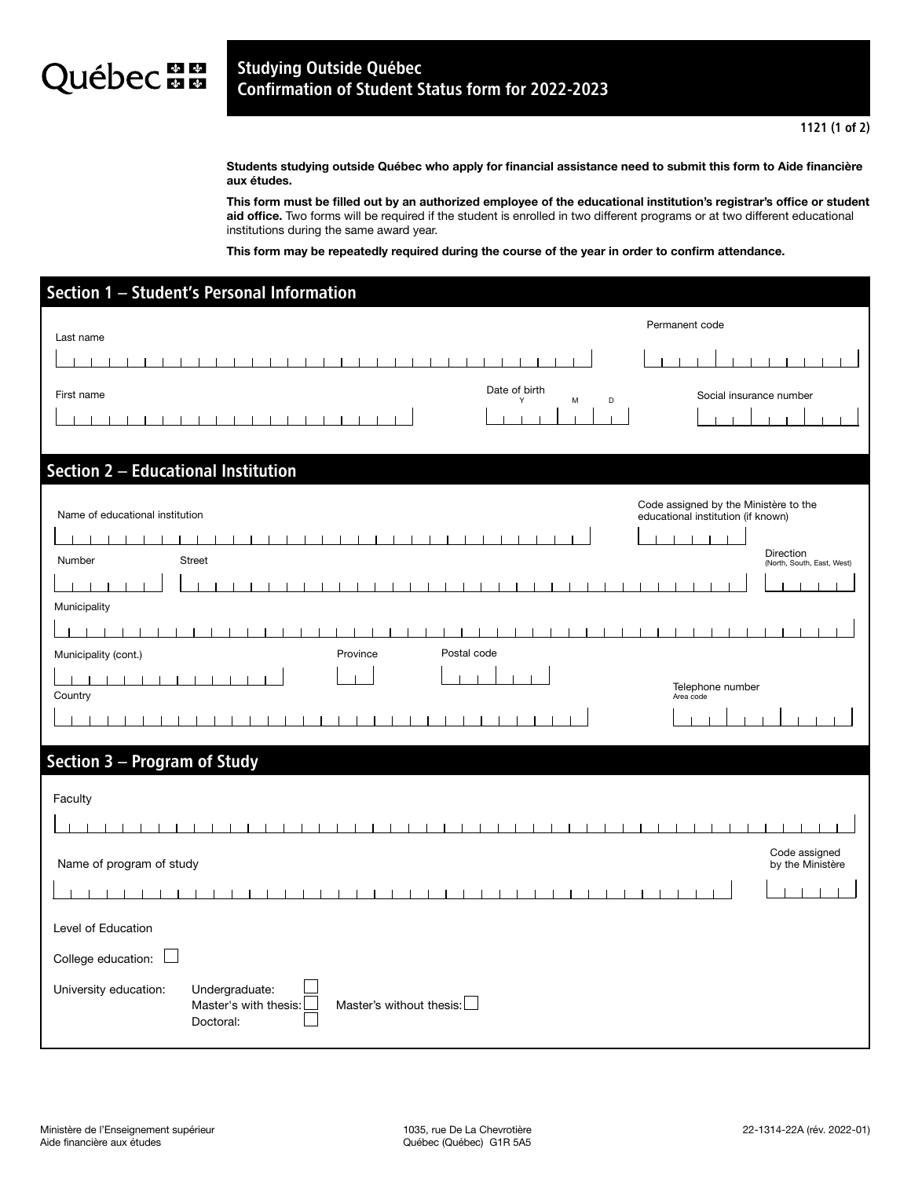## **Juébec an** Studying Outside Québec Confirmation of Student Status form for 2022-2023

Students studying outside Québec who apply for financial assistance need to submit this form to Aide financière aux études.

This form must be filled out by an authorized employee of the educational institution's registrar's office or student aid office. Two forms will be required if the student is enrolled in two different programs or at two different educational institutions during the same award year.

This form may be repeatedly required during the course of the year in order to confirm attendance.

| Section 1 - Student's Personal Information                                                   |                  |                                         |  |  |
|----------------------------------------------------------------------------------------------|------------------|-----------------------------------------|--|--|
|                                                                                              | Permanent code   |                                         |  |  |
| Last name                                                                                    |                  |                                         |  |  |
|                                                                                              |                  |                                         |  |  |
| Date of birth<br>First name<br>M<br>Υ                                                        | D                | Social insurance number                 |  |  |
|                                                                                              |                  |                                         |  |  |
|                                                                                              |                  |                                         |  |  |
| Section 2 - Educational Institution                                                          |                  |                                         |  |  |
|                                                                                              |                  | Code assigned by the Ministère to the   |  |  |
| Name of educational institution                                                              |                  | educational institution (if known)      |  |  |
| <b>Street</b><br>Number                                                                      |                  | Direction<br>(North, South, East, West) |  |  |
|                                                                                              |                  |                                         |  |  |
| Municipality                                                                                 |                  |                                         |  |  |
|                                                                                              |                  |                                         |  |  |
| Postal code<br>Province<br>Municipality (cont.)                                              |                  |                                         |  |  |
|                                                                                              | Telephone number |                                         |  |  |
| Country                                                                                      |                  | Area code                               |  |  |
|                                                                                              |                  |                                         |  |  |
| Section 3 - Program of Study                                                                 |                  |                                         |  |  |
|                                                                                              |                  |                                         |  |  |
| Faculty                                                                                      |                  |                                         |  |  |
|                                                                                              |                  |                                         |  |  |
|                                                                                              |                  | Code assigned                           |  |  |
| Name of program of study                                                                     |                  | by the Ministère                        |  |  |
|                                                                                              |                  |                                         |  |  |
|                                                                                              |                  |                                         |  |  |
| Level of Education                                                                           |                  |                                         |  |  |
| College education:                                                                           |                  |                                         |  |  |
| University education:<br>Undergraduate:<br>Master's without thesis:<br>Master's with thesis: |                  |                                         |  |  |